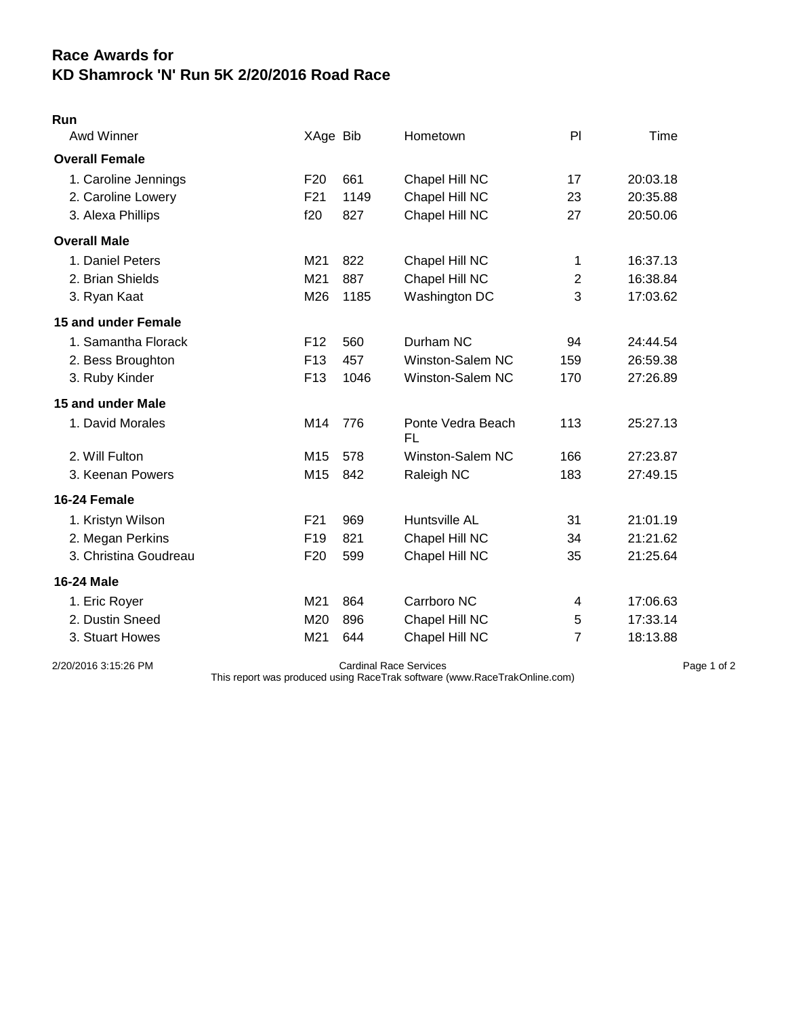## **Race Awards for KD Shamrock 'N' Run 5K 2/20/2016 Road Race**

## **Run**

| Awd Winner            | XAge Bib        |      | Hometown                | PI             | Time     |
|-----------------------|-----------------|------|-------------------------|----------------|----------|
| <b>Overall Female</b> |                 |      |                         |                |          |
| 1. Caroline Jennings  | F <sub>20</sub> | 661  | Chapel Hill NC          | 17             | 20:03.18 |
| 2. Caroline Lowery    | F21             | 1149 | Chapel Hill NC          | 23             | 20:35.88 |
| 3. Alexa Phillips     | f20             | 827  | Chapel Hill NC          | 27             | 20:50.06 |
| <b>Overall Male</b>   |                 |      |                         |                |          |
| 1. Daniel Peters      | M21             | 822  | Chapel Hill NC          | 1              | 16:37.13 |
| 2. Brian Shields      | M21             | 887  | Chapel Hill NC          | $\overline{2}$ | 16:38.84 |
| 3. Ryan Kaat          | M26             | 1185 | Washington DC           | 3              | 17:03.62 |
| 15 and under Female   |                 |      |                         |                |          |
| 1. Samantha Florack   | F <sub>12</sub> | 560  | Durham NC               | 94             | 24:44.54 |
| 2. Bess Broughton     | F <sub>13</sub> | 457  | Winston-Salem NC        | 159            | 26:59.38 |
| 3. Ruby Kinder        | F <sub>13</sub> | 1046 | Winston-Salem NC        | 170            | 27:26.89 |
| 15 and under Male     |                 |      |                         |                |          |
| 1. David Morales      | M14             | 776  | Ponte Vedra Beach<br>FL | 113            | 25:27.13 |
| 2. Will Fulton        | M15             | 578  | Winston-Salem NC        | 166            | 27:23.87 |
| 3. Keenan Powers      | M15             | 842  | Raleigh NC              | 183            | 27:49.15 |
| 16-24 Female          |                 |      |                         |                |          |
| 1. Kristyn Wilson     | F21             | 969  | Huntsville AL           | 31             | 21:01.19 |
| 2. Megan Perkins      | F <sub>19</sub> | 821  | Chapel Hill NC          | 34             | 21:21.62 |
| 3. Christina Goudreau | F <sub>20</sub> | 599  | Chapel Hill NC          | 35             | 21:25.64 |
| <b>16-24 Male</b>     |                 |      |                         |                |          |
| 1. Eric Royer         | M21             | 864  | Carrboro NC             | 4              | 17:06.63 |
| 2. Dustin Sneed       | M20             | 896  | Chapel Hill NC          | 5              | 17:33.14 |
| 3. Stuart Howes       | M21             | 644  | Chapel Hill NC          | 7              | 18:13.88 |
|                       |                 |      |                         |                |          |

2/20/2016 3:15:26 PM Cardinal Race Services Page 1 of 2

This report was produced using RaceTrak software (www.RaceTrakOnline.com)